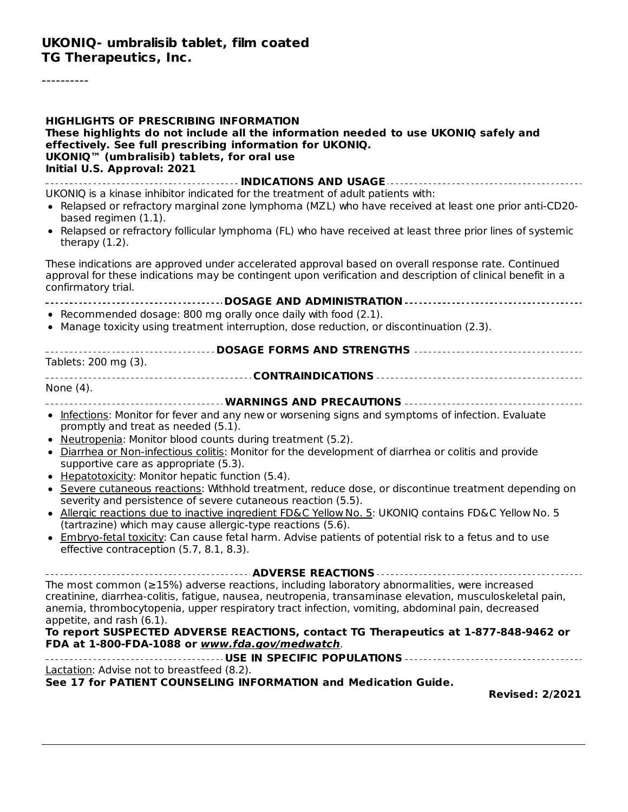----------

| <b>HIGHLIGHTS OF PRESCRIBING INFORMATION</b><br>These highlights do not include all the information needed to use UKONIQ safely and<br>effectively. See full prescribing information for UKONIQ.<br>UKONIQ <sup>™</sup> (umbralisib) tablets, for oral use<br>Initial U.S. Approval: 2021<br>INDICATIONS AND USAGE                                                                                                                                                                         |
|--------------------------------------------------------------------------------------------------------------------------------------------------------------------------------------------------------------------------------------------------------------------------------------------------------------------------------------------------------------------------------------------------------------------------------------------------------------------------------------------|
| UKONIQ is a kinase inhibitor indicated for the treatment of adult patients with:<br>• Relapsed or refractory marginal zone lymphoma (MZL) who have received at least one prior anti-CD20-<br>based regimen (1.1).<br>• Relapsed or refractory follicular lymphoma (FL) who have received at least three prior lines of systemic<br>therapy $(1.2)$ .                                                                                                                                       |
| These indications are approved under accelerated approval based on overall response rate. Continued<br>approval for these indications may be contingent upon verification and description of clinical benefit in a<br>confirmatory trial.                                                                                                                                                                                                                                                  |
|                                                                                                                                                                                                                                                                                                                                                                                                                                                                                            |
| • Recommended dosage: 800 mg orally once daily with food (2.1).                                                                                                                                                                                                                                                                                                                                                                                                                            |
| • Manage toxicity using treatment interruption, dose reduction, or discontinuation (2.3).                                                                                                                                                                                                                                                                                                                                                                                                  |
| Tablets: 200 mg (3).                                                                                                                                                                                                                                                                                                                                                                                                                                                                       |
|                                                                                                                                                                                                                                                                                                                                                                                                                                                                                            |
| None (4).                                                                                                                                                                                                                                                                                                                                                                                                                                                                                  |
|                                                                                                                                                                                                                                                                                                                                                                                                                                                                                            |
| • Infections: Monitor for fever and any new or worsening signs and symptoms of infection. Evaluate<br>promptly and treat as needed (5.1).<br>• Neutropenia: Monitor blood counts during treatment (5.2).                                                                                                                                                                                                                                                                                   |
| . Diarrhea or Non-infectious colitis: Monitor for the development of diarrhea or colitis and provide<br>supportive care as appropriate (5.3).                                                                                                                                                                                                                                                                                                                                              |
| • Hepatotoxicity: Monitor hepatic function (5.4).                                                                                                                                                                                                                                                                                                                                                                                                                                          |
| • Severe cutaneous reactions: Withhold treatment, reduce dose, or discontinue treatment depending on<br>severity and persistence of severe cutaneous reaction (5.5).                                                                                                                                                                                                                                                                                                                       |
| • Allergic reactions due to inactive ingredient FD&C Yellow No. 5: UKONIQ contains FD&C Yellow No. 5<br>(tartrazine) which may cause allergic-type reactions (5.6).                                                                                                                                                                                                                                                                                                                        |
| • Embryo-fetal toxicity: Can cause fetal harm. Advise patients of potential risk to a fetus and to use<br>effective contraception (5.7, 8.1, 8.3).                                                                                                                                                                                                                                                                                                                                         |
|                                                                                                                                                                                                                                                                                                                                                                                                                                                                                            |
| The most common ( $\geq$ 15%) adverse reactions, including laboratory abnormalities, were increased<br>creatinine, diarrhea-colitis, fatigue, nausea, neutropenia, transaminase elevation, musculoskeletal pain,<br>anemia, thrombocytopenia, upper respiratory tract infection, vomiting, abdominal pain, decreased<br>appetite, and rash (6.1).<br>To report SUSPECTED ADVERSE REACTIONS, contact TG Therapeutics at 1-877-848-9462 or<br>FDA at 1-800-FDA-1088 or www.fda.gov/medwatch. |
|                                                                                                                                                                                                                                                                                                                                                                                                                                                                                            |
| Lactation: Advise not to breastfeed (8.2).                                                                                                                                                                                                                                                                                                                                                                                                                                                 |
| See 17 for PATIENT COUNSELING INFORMATION and Medication Guide.<br><b>Revised: 2/2021</b>                                                                                                                                                                                                                                                                                                                                                                                                  |
|                                                                                                                                                                                                                                                                                                                                                                                                                                                                                            |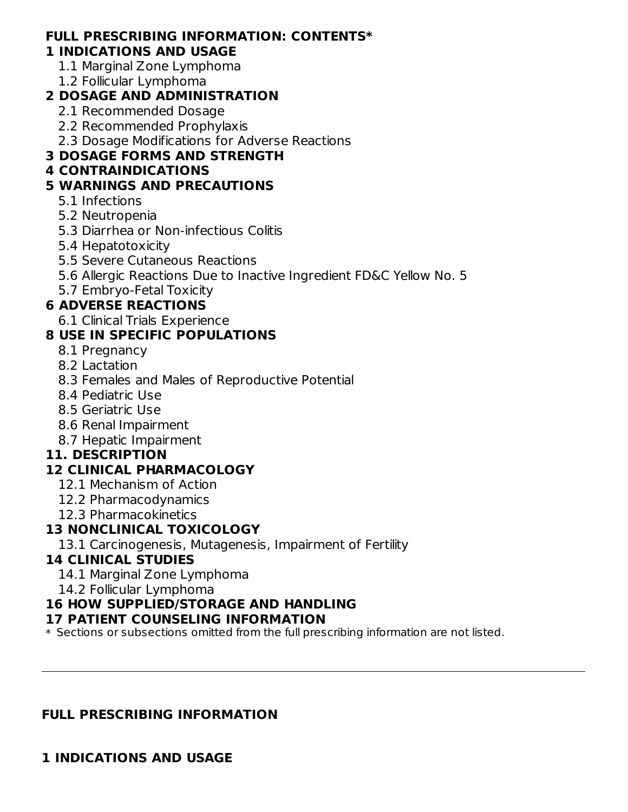# **FULL PRESCRIBING INFORMATION: CONTENTS\***

# **1 INDICATIONS AND USAGE**

- 1.1 Marginal Zone Lymphoma
- 1.2 Follicular Lymphoma

# **2 DOSAGE AND ADMINISTRATION**

- 2.1 Recommended Dosage
- 2.2 Recommended Prophylaxis
- 2.3 Dosage Modifications for Adverse Reactions

# **3 DOSAGE FORMS AND STRENGTH**

# **4 CONTRAINDICATIONS**

# **5 WARNINGS AND PRECAUTIONS**

- 5.1 Infections
- 5.2 Neutropenia
- 5.3 Diarrhea or Non-infectious Colitis
- 5.4 Hepatotoxicity
- 5.5 Severe Cutaneous Reactions
- 5.6 Allergic Reactions Due to Inactive Ingredient FD&C Yellow No. 5
- 5.7 Embryo-Fetal Toxicity

# **6 ADVERSE REACTIONS**

6.1 Clinical Trials Experience

# **8 USE IN SPECIFIC POPULATIONS**

- 8.1 Pregnancy
- 8.2 Lactation
- 8.3 Females and Males of Reproductive Potential
- 8.4 Pediatric Use
- 8.5 Geriatric Use
- 8.6 Renal Impairment
- 8.7 Hepatic Impairment

## **11. DESCRIPTION**

# **12 CLINICAL PHARMACOLOGY**

- 12.1 Mechanism of Action
- 12.2 Pharmacodynamics
- 12.3 Pharmacokinetics

## **13 NONCLINICAL TOXICOLOGY**

13.1 Carcinogenesis, Mutagenesis, Impairment of Fertility

## **14 CLINICAL STUDIES**

- 14.1 Marginal Zone Lymphoma
- 14.2 Follicular Lymphoma

## **16 HOW SUPPLIED/STORAGE AND HANDLING**

## **17 PATIENT COUNSELING INFORMATION**

 $\ast$  Sections or subsections omitted from the full prescribing information are not listed.

## **FULL PRESCRIBING INFORMATION**

# **1 INDICATIONS AND USAGE**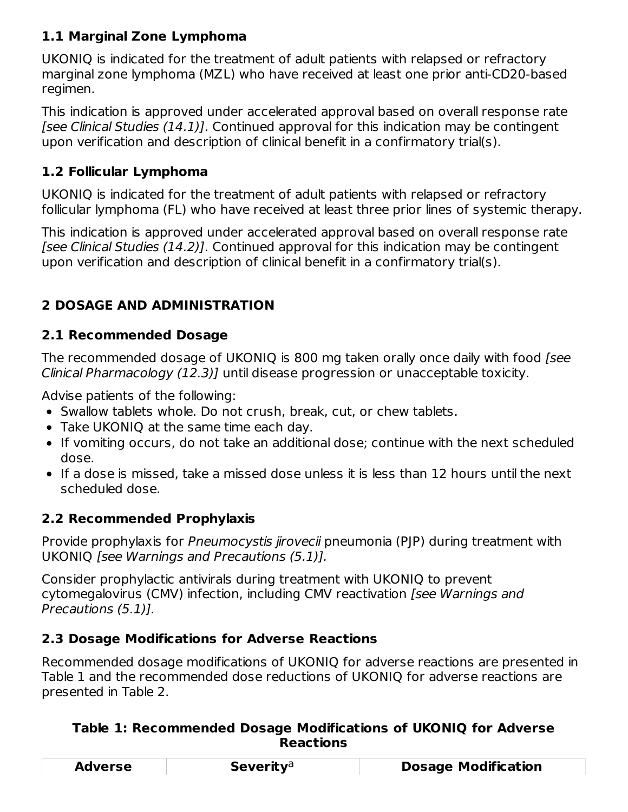## **1.1 Marginal Zone Lymphoma**

UKONIQ is indicated for the treatment of adult patients with relapsed or refractory marginal zone lymphoma (MZL) who have received at least one prior anti-CD20-based regimen.

This indication is approved under accelerated approval based on overall response rate [see Clinical Studies  $(14.1)$ ]. Continued approval for this indication may be contingent upon verification and description of clinical benefit in a confirmatory trial(s).

## **1.2 Follicular Lymphoma**

UKONIQ is indicated for the treatment of adult patients with relapsed or refractory follicular lymphoma (FL) who have received at least three prior lines of systemic therapy.

This indication is approved under accelerated approval based on overall response rate [see Clinical Studies (14.2)]. Continued approval for this indication may be contingent upon verification and description of clinical benefit in a confirmatory trial(s).

## **2 DOSAGE AND ADMINISTRATION**

## **2.1 Recommended Dosage**

The recommended dosage of UKONIQ is 800 mg taken orally once daily with food [see Clinical Pharmacology (12.3)] until disease progression or unacceptable toxicity.

Advise patients of the following:

- Swallow tablets whole. Do not crush, break, cut, or chew tablets.
- Take UKONIQ at the same time each day.
- If vomiting occurs, do not take an additional dose; continue with the next scheduled dose.
- If a dose is missed, take a missed dose unless it is less than 12 hours until the next scheduled dose.

## **2.2 Recommended Prophylaxis**

Provide prophylaxis for Pneumocystis jirovecii pneumonia (PJP) during treatment with UKONIQ [see Warnings and Precautions (5.1)].

Consider prophylactic antivirals during treatment with UKONIQ to prevent cytomegalovirus (CMV) infection, including CMV reactivation [see Warnings and Precautions (5.1)].

## **2.3 Dosage Modifications for Adverse Reactions**

Recommended dosage modifications of UKONIQ for adverse reactions are presented in Table 1 and the recommended dose reductions of UKONIQ for adverse reactions are presented in Table 2.

#### **Table 1: Recommended Dosage Modifications of UKONIQ for Adverse Reactions**

| <b>Adverse</b> | <b>Severity</b> <sup>a</sup> | <b>Dosage Modification</b> |
|----------------|------------------------------|----------------------------|
|                |                              |                            |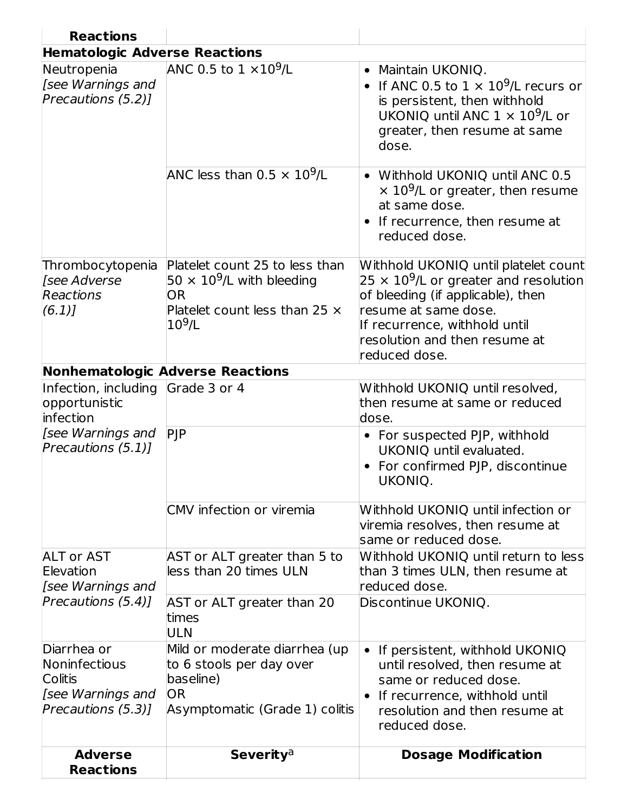| <b>Reactions</b>                                                                          |                                                                                                                                                    |                                                                                                                                                                                                                                                  |
|-------------------------------------------------------------------------------------------|----------------------------------------------------------------------------------------------------------------------------------------------------|--------------------------------------------------------------------------------------------------------------------------------------------------------------------------------------------------------------------------------------------------|
| <b>Hematologic Adverse Reactions</b>                                                      |                                                                                                                                                    |                                                                                                                                                                                                                                                  |
| Neutropenia<br>[see Warnings and<br>Precautions (5.2)]                                    | ANC 0.5 to $1 \times 10^9$ /L<br>ANC less than 0.5 $\times$ 10 <sup>9</sup> /L                                                                     | Maintain UKONIQ.<br>$\bullet$<br>If ANC 0.5 to $1 \times 10^9$ /L recurs or<br>is persistent, then withhold<br>UKONIQ until ANC $1 \times 10^9$ /L or<br>greater, then resume at same<br>dose.<br>• Withhold UKONIQ until ANC 0.5                |
|                                                                                           |                                                                                                                                                    | $\times$ 10 <sup>9</sup> /L or greater, then resume<br>at same dose.<br>If recurrence, then resume at<br>reduced dose.                                                                                                                           |
| Thrombocytopenia<br>[see Adverse<br>Reactions<br>(6.1)                                    | Platelet count 25 to less than<br>50 $\times$ 10 <sup>9</sup> /L with bleeding<br><b>OR</b><br>Platelet count less than 25 $\times$<br>$10^{9}$ /L | Withhold UKONIQ until platelet count<br>25 $\times$ 10 <sup>9</sup> /L or greater and resolution<br>of bleeding (if applicable), then<br>resume at same dose.<br>If recurrence, withhold until<br>resolution and then resume at<br>reduced dose. |
|                                                                                           | <b>Nonhematologic Adverse Reactions</b>                                                                                                            |                                                                                                                                                                                                                                                  |
| Infection, including<br>opportunistic<br>infection                                        | Grade 3 or 4                                                                                                                                       | Withhold UKONIQ until resolved,<br>then resume at same or reduced<br>dose.                                                                                                                                                                       |
| [see Warnings and<br>Precautions (5.1)                                                    | PIP                                                                                                                                                | • For suspected PJP, withhold<br>UKONIQ until evaluated.<br>For confirmed PJP, discontinue<br>UKONIQ.                                                                                                                                            |
|                                                                                           | CMV infection or viremia                                                                                                                           | Withhold UKONIQ until infection or<br>viremia resolves, then resume at<br>same or reduced dose.                                                                                                                                                  |
| <b>ALT or AST</b><br>Elevation<br>[see Warnings and                                       | AST or ALT greater than 5 to<br>less than 20 times ULN                                                                                             | Withhold UKONIQ until return to less<br>than 3 times ULN, then resume at<br>reduced dose.                                                                                                                                                        |
| Precautions (5.4)]                                                                        | AST or ALT greater than 20<br>times<br><b>ULN</b>                                                                                                  | Discontinue UKONIQ.                                                                                                                                                                                                                              |
| Diarrhea or<br>Noninfectious<br><b>Colitis</b><br>[see Warnings and<br>Precautions (5.3)] | Mild or moderate diarrhea (up<br>to 6 stools per day over<br>baseline)<br><b>OR</b><br>Asymptomatic (Grade 1) colitis                              | • If persistent, withhold UKONIQ<br>until resolved, then resume at<br>same or reduced dose.<br>If recurrence, withhold until<br>resolution and then resume at<br>reduced dose.                                                                   |
| <b>Adverse</b><br><b>Reactions</b>                                                        | <b>Severity</b> <sup>a</sup>                                                                                                                       | <b>Dosage Modification</b>                                                                                                                                                                                                                       |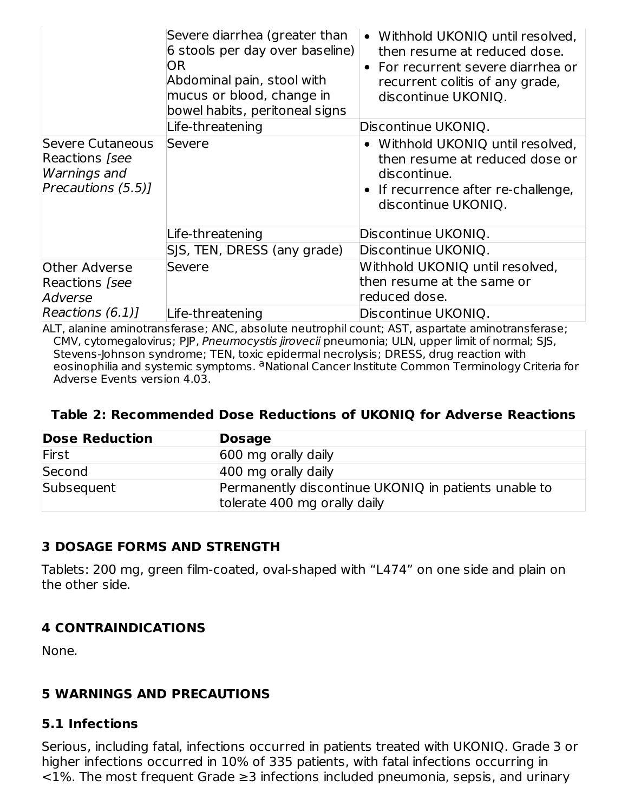|                                                                                | Severe diarrhea (greater than<br>6 stools per day over baseline)<br><b>OR</b><br>Abdominal pain, stool with<br>mucus or blood, change in<br>bowel habits, peritoneal signs | Withhold UKONIQ until resolved,<br>$\bullet$<br>then resume at reduced dose.<br>For recurrent severe diarrhea or<br>$\bullet$<br>recurrent colitis of any grade,<br>discontinue UKONIQ. |
|--------------------------------------------------------------------------------|----------------------------------------------------------------------------------------------------------------------------------------------------------------------------|-----------------------------------------------------------------------------------------------------------------------------------------------------------------------------------------|
|                                                                                | Life-threatening                                                                                                                                                           | Discontinue UKONIQ.                                                                                                                                                                     |
| Severe Cutaneous<br>Reactions [see<br><b>Warnings</b> and<br>Precautions (5.5) | Severe                                                                                                                                                                     | Withhold UKONIQ until resolved,<br>then resume at reduced dose or<br>discontinue.<br>If recurrence after re-challenge,<br>discontinue UKONIQ.                                           |
|                                                                                | Life-threatening                                                                                                                                                           | Discontinue UKONIQ.                                                                                                                                                                     |
|                                                                                | SJS, TEN, DRESS (any grade)                                                                                                                                                | Discontinue UKONIQ.                                                                                                                                                                     |
| Other Adverse<br>Reactions [see<br>Adverse                                     | Severe                                                                                                                                                                     | Withhold UKONIQ until resolved,<br>then resume at the same or<br>reduced dose.                                                                                                          |
| Reactions (6.1)                                                                | Life-threatening                                                                                                                                                           | Discontinue UKONIQ.                                                                                                                                                                     |

ALT, alanine aminotransferase; ANC, absolute neutrophil count; AST, aspartate aminotransferase; CMV, cytomegalovirus; PJP, Pneumocystis jirovecii pneumonia; ULN, upper limit of normal; SJS, Stevens-Johnson syndrome; TEN, toxic epidermal necrolysis; DRESS, drug reaction with eosinophilia and systemic symptoms. <sup>a</sup> National Cancer Institute Common Terminology Criteria for Adverse Events version 4.03.

#### **Table 2: Recommended Dose Reductions of UKONIQ for Adverse Reactions**

| <b>Dose Reduction</b> | <b>Dosage</b>                                                                        |
|-----------------------|--------------------------------------------------------------------------------------|
| First                 | 600 mg orally daily                                                                  |
| Second                | 400 mg orally daily                                                                  |
| Subsequent            | Permanently discontinue UKONIQ in patients unable to<br>tolerate 400 mg orally daily |

#### **3 DOSAGE FORMS AND STRENGTH**

Tablets: 200 mg, green film-coated, oval-shaped with "L474" on one side and plain on the other side.

#### **4 CONTRAINDICATIONS**

None.

#### **5 WARNINGS AND PRECAUTIONS**

#### **5.1 Infections**

Serious, including fatal, infections occurred in patients treated with UKONIQ. Grade 3 or higher infections occurred in 10% of 335 patients, with fatal infections occurring in <1%. The most frequent Grade ≥3 infections included pneumonia, sepsis, and urinary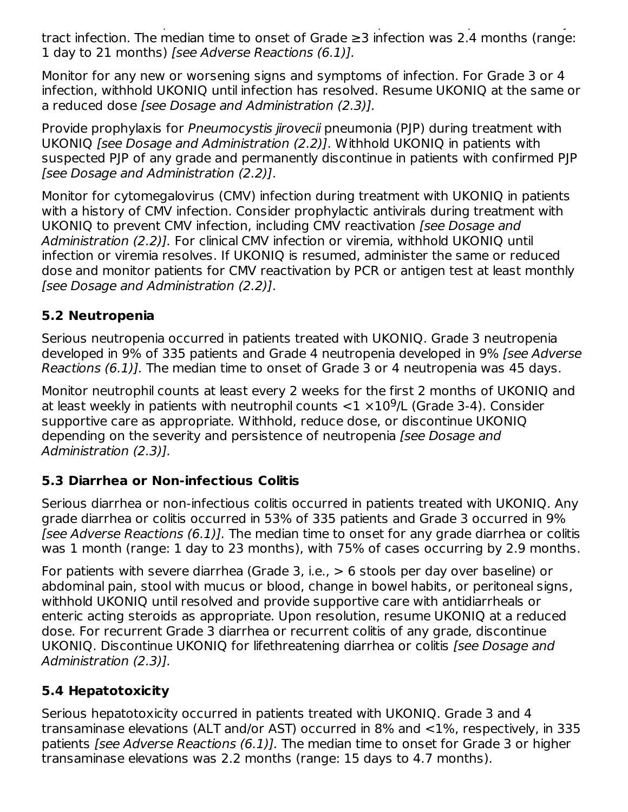$1.5$  infections in fections included predictions included predictions included predictions included predictions in tract infection. The median time to onset of Grade ≥3 infection was 2.4 months (range: 1 day to 21 months) [see Adverse Reactions (6.1)].

Monitor for any new or worsening signs and symptoms of infection. For Grade 3 or 4 infection, withhold UKONIQ until infection has resolved. Resume UKONIQ at the same or a reduced dose [see Dosage and Administration (2.3)].

Provide prophylaxis for Pneumocystis jirovecii pneumonia (PJP) during treatment with UKONIQ [see Dosage and Administration (2.2)]. Withhold UKONIQ in patients with suspected PJP of any grade and permanently discontinue in patients with confirmed PJP [see Dosage and Administration (2.2)].

Monitor for cytomegalovirus (CMV) infection during treatment with UKONIQ in patients with a history of CMV infection. Consider prophylactic antivirals during treatment with UKONIQ to prevent CMV infection, including CMV reactivation (see Dosage and Administration (2.2)]. For clinical CMV infection or viremia, withhold UKONIQ until infection or viremia resolves. If UKONIQ is resumed, administer the same or reduced dose and monitor patients for CMV reactivation by PCR or antigen test at least monthly [see Dosage and Administration (2.2)].

## **5.2 Neutropenia**

Serious neutropenia occurred in patients treated with UKONIQ. Grade 3 neutropenia developed in 9% of 335 patients and Grade 4 neutropenia developed in 9% [see Adverse Reactions (6.1)]. The median time to onset of Grade 3 or 4 neutropenia was 45 days.

Monitor neutrophil counts at least every 2 weeks for the first 2 months of UKONIQ and at least weekly in patients with neutrophil counts  $<$ 1  $\times10^9$ /L (Grade 3-4). Consider supportive care as appropriate. Withhold, reduce dose, or discontinue UKONIQ depending on the severity and persistence of neutropenia [see Dosage and Administration (2.3)].

## **5.3 Diarrhea or Non-infectious Colitis**

Serious diarrhea or non-infectious colitis occurred in patients treated with UKONIQ. Any grade diarrhea or colitis occurred in 53% of 335 patients and Grade 3 occurred in 9% [see Adverse Reactions (6.1)]. The median time to onset for any grade diarrhea or colitis was 1 month (range: 1 day to 23 months), with 75% of cases occurring by 2.9 months.

For patients with severe diarrhea (Grade 3, i.e., > 6 stools per day over baseline) or abdominal pain, stool with mucus or blood, change in bowel habits, or peritoneal signs, withhold UKONIQ until resolved and provide supportive care with antidiarrheals or enteric acting steroids as appropriate. Upon resolution, resume UKONIQ at a reduced dose. For recurrent Grade 3 diarrhea or recurrent colitis of any grade, discontinue UKONIQ. Discontinue UKONIQ for lifethreatening diarrhea or colitis [see Dosage and Administration (2.3)].

## **5.4 Hepatotoxicity**

Serious hepatotoxicity occurred in patients treated with UKONIQ. Grade 3 and 4 transaminase elevations (ALT and/or AST) occurred in 8% and <1%, respectively, in 335 patients [see Adverse Reactions (6.1)]. The median time to onset for Grade 3 or higher transaminase elevations was 2.2 months (range: 15 days to 4.7 months).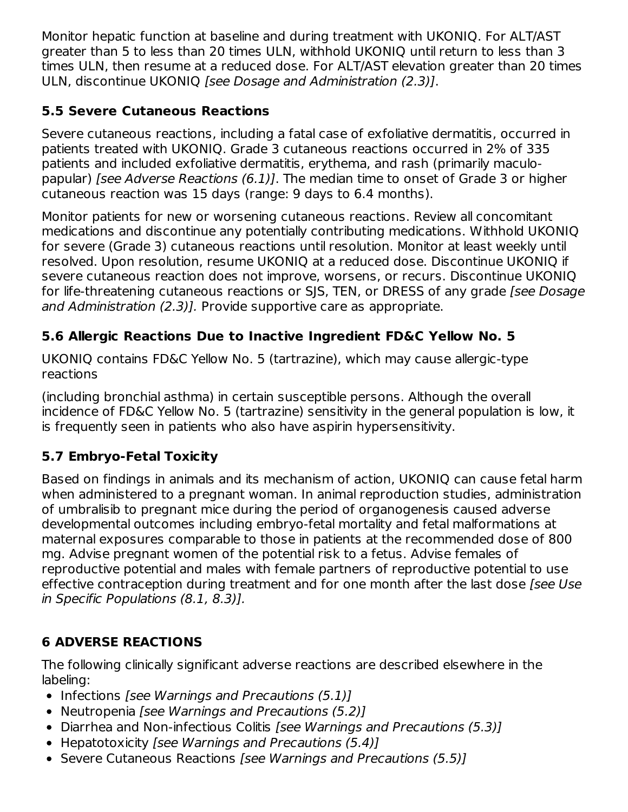Monitor hepatic function at baseline and during treatment with UKONIQ. For ALT/AST greater than 5 to less than 20 times ULN, withhold UKONIQ until return to less than 3 times ULN, then resume at a reduced dose. For ALT/AST elevation greater than 20 times ULN, discontinue UKONIQ [see Dosage and Administration (2.3)].

## **5.5 Severe Cutaneous Reactions**

Severe cutaneous reactions, including a fatal case of exfoliative dermatitis, occurred in patients treated with UKONIQ. Grade 3 cutaneous reactions occurred in 2% of 335 patients and included exfoliative dermatitis, erythema, and rash (primarily maculopapular) [see Adverse Reactions (6.1)]. The median time to onset of Grade 3 or higher cutaneous reaction was 15 days (range: 9 days to 6.4 months).

Monitor patients for new or worsening cutaneous reactions. Review all concomitant medications and discontinue any potentially contributing medications. Withhold UKONIQ for severe (Grade 3) cutaneous reactions until resolution. Monitor at least weekly until resolved. Upon resolution, resume UKONIQ at a reduced dose. Discontinue UKONIQ if severe cutaneous reaction does not improve, worsens, or recurs. Discontinue UKONIQ for life-threatening cutaneous reactions or SJS, TEN, or DRESS of any grade [see Dosage] and Administration (2.3)]. Provide supportive care as appropriate.

## **5.6 Allergic Reactions Due to Inactive Ingredient FD&C Yellow No. 5**

UKONIQ contains FD&C Yellow No. 5 (tartrazine), which may cause allergic-type reactions

(including bronchial asthma) in certain susceptible persons. Although the overall incidence of FD&C Yellow No. 5 (tartrazine) sensitivity in the general population is low, it is frequently seen in patients who also have aspirin hypersensitivity.

## **5.7 Embryo-Fetal Toxicity**

Based on findings in animals and its mechanism of action, UKONIQ can cause fetal harm when administered to a pregnant woman. In animal reproduction studies, administration of umbralisib to pregnant mice during the period of organogenesis caused adverse developmental outcomes including embryo-fetal mortality and fetal malformations at maternal exposures comparable to those in patients at the recommended dose of 800 mg. Advise pregnant women of the potential risk to a fetus. Advise females of reproductive potential and males with female partners of reproductive potential to use effective contraception during treatment and for one month after the last dose [see Use in Specific Populations (8.1, 8.3)].

## **6 ADVERSE REACTIONS**

The following clinically significant adverse reactions are described elsewhere in the labeling:

- $\bullet$  Infections [see Warnings and Precautions (5.1)]
- Neutropenia [see Warnings and Precautions (5.2)]
- Diarrhea and Non-infectious Colitis [see Warnings and Precautions (5.3)]
- Hepatotoxicity [see Warnings and Precautions (5.4)]
- Severe Cutaneous Reactions [see Warnings and Precautions (5.5)]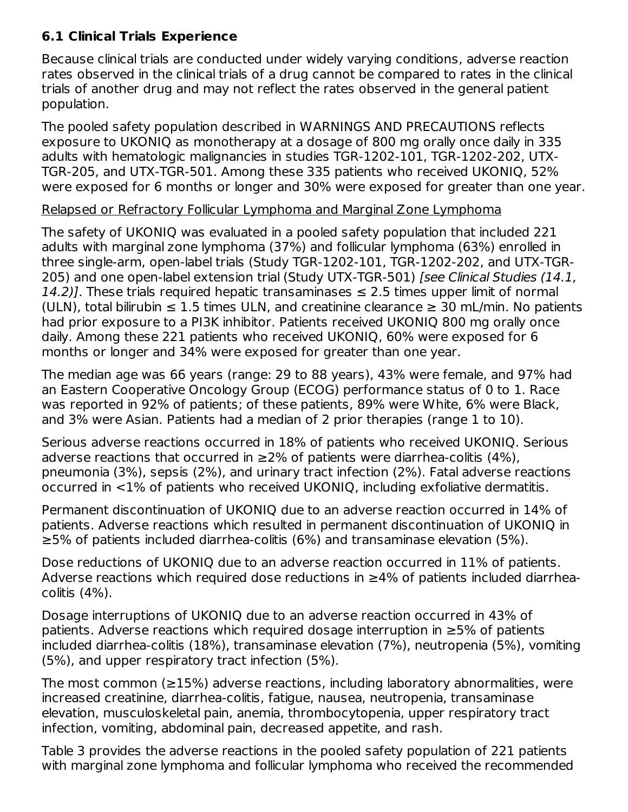## **6.1 Clinical Trials Experience**

Because clinical trials are conducted under widely varying conditions, adverse reaction rates observed in the clinical trials of a drug cannot be compared to rates in the clinical trials of another drug and may not reflect the rates observed in the general patient population.

The pooled safety population described in WARNINGS AND PRECAUTIONS reflects exposure to UKONIQ as monotherapy at a dosage of 800 mg orally once daily in 335 adults with hematologic malignancies in studies TGR-1202-101, TGR-1202-202, UTX-TGR-205, and UTX-TGR-501. Among these 335 patients who received UKONIQ, 52% were exposed for 6 months or longer and 30% were exposed for greater than one year.

#### Relapsed or Refractory Follicular Lymphoma and Marginal Zone Lymphoma

The safety of UKONIQ was evaluated in a pooled safety population that included 221 adults with marginal zone lymphoma (37%) and follicular lymphoma (63%) enrolled in three single-arm, open-label trials (Study TGR-1202-101, TGR-1202-202, and UTX-TGR-205) and one open-label extension trial (Study UTX-TGR-501) [see Clinical Studies (14.1, 14.2)]. These trials required hepatic transaminases  $\leq$  2.5 times upper limit of normal (ULN), total bilirubin  $\leq 1.5$  times ULN, and creatinine clearance  $\geq 30$  mL/min. No patients had prior exposure to a PI3K inhibitor. Patients received UKONIQ 800 mg orally once daily. Among these 221 patients who received UKONIQ, 60% were exposed for 6 months or longer and 34% were exposed for greater than one year.

The median age was 66 years (range: 29 to 88 years), 43% were female, and 97% had an Eastern Cooperative Oncology Group (ECOG) performance status of 0 to 1. Race was reported in 92% of patients; of these patients, 89% were White, 6% were Black, and 3% were Asian. Patients had a median of 2 prior therapies (range 1 to 10).

Serious adverse reactions occurred in 18% of patients who received UKONIQ. Serious adverse reactions that occurred in  $\geq$ 2% of patients were diarrhea-colitis (4%), pneumonia (3%), sepsis (2%), and urinary tract infection (2%). Fatal adverse reactions occurred in <1% of patients who received UKONIQ, including exfoliative dermatitis.

Permanent discontinuation of UKONIQ due to an adverse reaction occurred in 14% of patients. Adverse reactions which resulted in permanent discontinuation of UKONIQ in ≥5% of patients included diarrhea-colitis (6%) and transaminase elevation (5%).

Dose reductions of UKONIQ due to an adverse reaction occurred in 11% of patients. Adverse reactions which required dose reductions in ≥4% of patients included diarrheacolitis (4%).

Dosage interruptions of UKONIQ due to an adverse reaction occurred in 43% of patients. Adverse reactions which required dosage interruption in ≥5% of patients included diarrhea-colitis (18%), transaminase elevation (7%), neutropenia (5%), vomiting (5%), and upper respiratory tract infection (5%).

The most common (≥15%) adverse reactions, including laboratory abnormalities, were increased creatinine, diarrhea-colitis, fatigue, nausea, neutropenia, transaminase elevation, musculoskeletal pain, anemia, thrombocytopenia, upper respiratory tract infection, vomiting, abdominal pain, decreased appetite, and rash.

Table 3 provides the adverse reactions in the pooled safety population of 221 patients with marginal zone lymphoma and follicular lymphoma who received the recommended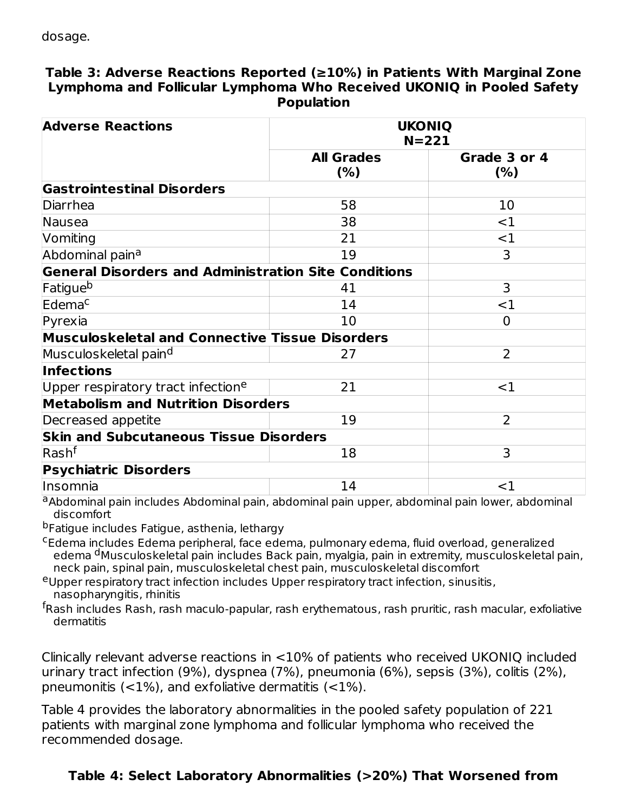#### **Table 3: Adverse Reactions Reported (≥10%) in Patients With Marginal Zone Lymphoma and Follicular Lymphoma Who Received UKONIQ in Pooled Safety Population**

| <b>Adverse Reactions</b>                                    | <b>UKONIQ</b><br>$N = 221$ |                |
|-------------------------------------------------------------|----------------------------|----------------|
|                                                             | <b>All Grades</b>          | Grade 3 or 4   |
|                                                             | (%)                        | (% )           |
| <b>Gastrointestinal Disorders</b>                           |                            |                |
| Diarrhea                                                    | 58                         | 10             |
| Nausea                                                      | 38                         | $<$ 1          |
| Vomiting                                                    | 21                         | $<$ 1          |
| Abdominal pain <sup>a</sup>                                 | 19                         | 3              |
| <b>General Disorders and Administration Site Conditions</b> |                            |                |
| Fatigue <sup>b</sup>                                        | 41                         | 3              |
| Edema <sup>c</sup>                                          | 14                         | $<$ 1          |
| Pyrexia                                                     | 10                         | $\Omega$       |
| <b>Musculoskeletal and Connective Tissue Disorders</b>      |                            |                |
| Musculoskeletal pain <sup>d</sup>                           | 27                         | $\overline{2}$ |
| <b>Infections</b>                                           |                            |                |
| Upper respiratory tract infection <sup>e</sup>              | 21                         | $<$ 1          |
| <b>Metabolism and Nutrition Disorders</b>                   |                            |                |
| Decreased appetite                                          | 19                         | $\overline{2}$ |
| <b>Skin and Subcutaneous Tissue Disorders</b>               |                            |                |
| $\sf R$ ash $\sf^f$                                         | 18                         | 3              |
| <b>Psychiatric Disorders</b>                                |                            |                |
| Insomnia                                                    | 14                         | $<$ 1          |

a<br>Abdominal pain includes Abdominal pain, abdominal pain upper, abdominal pain lower, abdominal discomfort

<sup>b</sup>Fatigue includes Fatigue, asthenia, lethargy

<sup>c</sup>Edema includes Edema peripheral, face edema, pulmonary edema, fluid overload, generalized edema <sup>d</sup>Musculoskeletal pain includes Back pain, myalgia, pain in extremity, musculoskeletal pain, neck pain, spinal pain, musculoskeletal chest pain, musculoskeletal discomfort

<sup>e</sup>Upper respiratory tract infection includes Upper respiratory tract infection, sinusitis, nasopharyngitis, rhinitis

<sup>f</sup>Rash includes Rash, rash maculo-papular, rash erythematous, rash pruritic, rash macular, exfoliative dermatitis

Clinically relevant adverse reactions in <10% of patients who received UKONIQ included urinary tract infection (9%), dyspnea (7%), pneumonia (6%), sepsis (3%), colitis (2%), pneumonitis  $(<1%)$ , and exfoliative dermatitis  $(<1%)$ .

Table 4 provides the laboratory abnormalities in the pooled safety population of 221 patients with marginal zone lymphoma and follicular lymphoma who received the recommended dosage.

# **Table 4: Select Laboratory Abnormalities (>20%) That Worsened from**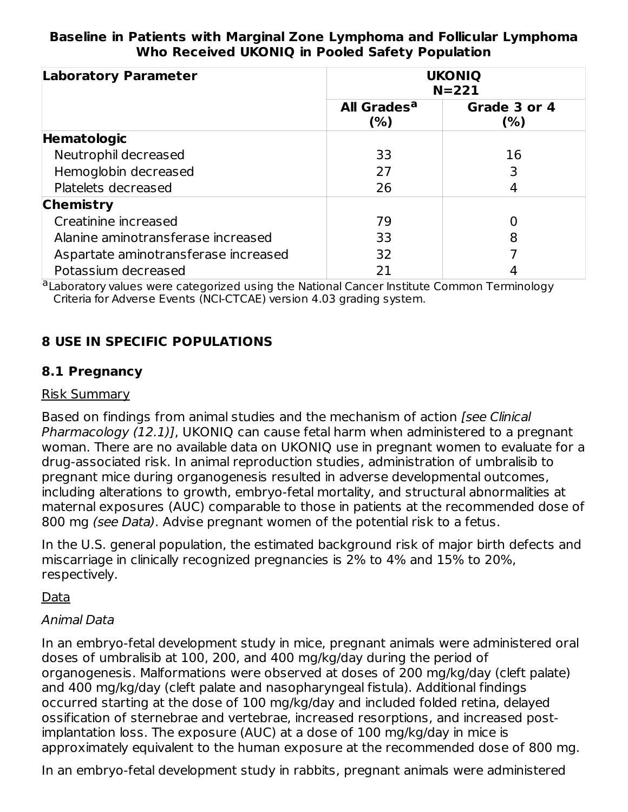#### **Baseline in Patients with Marginal Zone Lymphoma and Follicular Lymphoma Who Received UKONIQ in Pooled Safety Population**

| <b>Laboratory Parameter</b>          |                                | <b>UKONIQ</b><br>$N = 221$ |
|--------------------------------------|--------------------------------|----------------------------|
|                                      | All Grades <sup>a</sup><br>(%) | Grade 3 or 4<br>(% )       |
| Hematologic                          |                                |                            |
| Neutrophil decreased                 | 33                             | 16                         |
| Hemoglobin decreased                 | 27                             |                            |
| Platelets decreased                  | 26                             |                            |
| <b>Chemistry</b>                     |                                |                            |
| Creatinine increased                 | 79                             |                            |
| Alanine aminotransferase increased   | 33                             | 8                          |
| Aspartate aminotransferase increased | 32                             |                            |
| Potassium decreased                  |                                |                            |

aLaboratory values were categorized using the National Cancer Institute Common Terminology Criteria for Adverse Events (NCI-CTCAE) version 4.03 grading system.

## **8 USE IN SPECIFIC POPULATIONS**

#### **8.1 Pregnancy**

#### Risk Summary

Based on findings from animal studies and the mechanism of action [see Clinical Pharmacology (12.1)], UKONIQ can cause fetal harm when administered to a pregnant woman. There are no available data on UKONIQ use in pregnant women to evaluate for a drug-associated risk. In animal reproduction studies, administration of umbralisib to pregnant mice during organogenesis resulted in adverse developmental outcomes, including alterations to growth, embryo-fetal mortality, and structural abnormalities at maternal exposures (AUC) comparable to those in patients at the recommended dose of 800 mg (see Data). Advise pregnant women of the potential risk to a fetus.

In the U.S. general population, the estimated background risk of major birth defects and miscarriage in clinically recognized pregnancies is 2% to 4% and 15% to 20%, respectively.

#### Data

#### Animal Data

In an embryo-fetal development study in mice, pregnant animals were administered oral doses of umbralisib at 100, 200, and 400 mg/kg/day during the period of organogenesis. Malformations were observed at doses of 200 mg/kg/day (cleft palate) and 400 mg/kg/day (cleft palate and nasopharyngeal fistula). Additional findings occurred starting at the dose of 100 mg/kg/day and included folded retina, delayed ossification of sternebrae and vertebrae, increased resorptions, and increased postimplantation loss. The exposure (AUC) at a dose of 100 mg/kg/day in mice is approximately equivalent to the human exposure at the recommended dose of 800 mg.

In an embryo-fetal development study in rabbits, pregnant animals were administered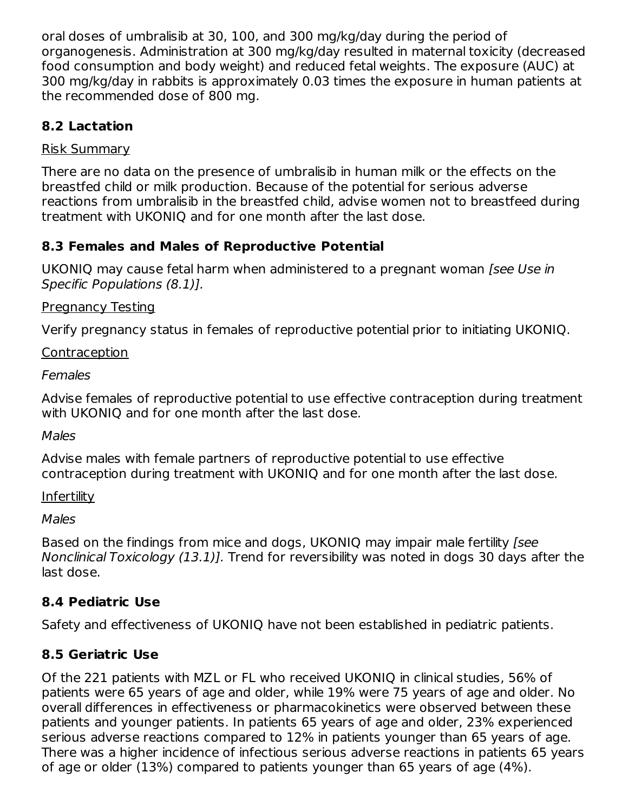oral doses of umbralisib at 30, 100, and 300 mg/kg/day during the period of organogenesis. Administration at 300 mg/kg/day resulted in maternal toxicity (decreased food consumption and body weight) and reduced fetal weights. The exposure (AUC) at 300 mg/kg/day in rabbits is approximately 0.03 times the exposure in human patients at the recommended dose of 800 mg.

## **8.2 Lactation**

#### Risk Summary

There are no data on the presence of umbralisib in human milk or the effects on the breastfed child or milk production. Because of the potential for serious adverse reactions from umbralisib in the breastfed child, advise women not to breastfeed during treatment with UKONIQ and for one month after the last dose.

## **8.3 Females and Males of Reproductive Potential**

UKONIQ may cause fetal harm when administered to a pregnant woman [see Use in Specific Populations (8.1)].

#### Pregnancy Testing

Verify pregnancy status in females of reproductive potential prior to initiating UKONIQ.

#### Contraception

#### Females

Advise females of reproductive potential to use effective contraception during treatment with UKONIQ and for one month after the last dose.

#### Males

Advise males with female partners of reproductive potential to use effective contraception during treatment with UKONIQ and for one month after the last dose.

#### **Infertility**

#### **Males**

Based on the findings from mice and dogs, UKONIQ may impair male fertility [see Nonclinical Toxicology (13.1)]. Trend for reversibility was noted in dogs 30 days after the last dose.

## **8.4 Pediatric Use**

Safety and effectiveness of UKONIQ have not been established in pediatric patients.

## **8.5 Geriatric Use**

Of the 221 patients with MZL or FL who received UKONIQ in clinical studies, 56% of patients were 65 years of age and older, while 19% were 75 years of age and older. No overall differences in effectiveness or pharmacokinetics were observed between these patients and younger patients. In patients 65 years of age and older, 23% experienced serious adverse reactions compared to 12% in patients younger than 65 years of age. There was a higher incidence of infectious serious adverse reactions in patients 65 years of age or older (13%) compared to patients younger than 65 years of age (4%).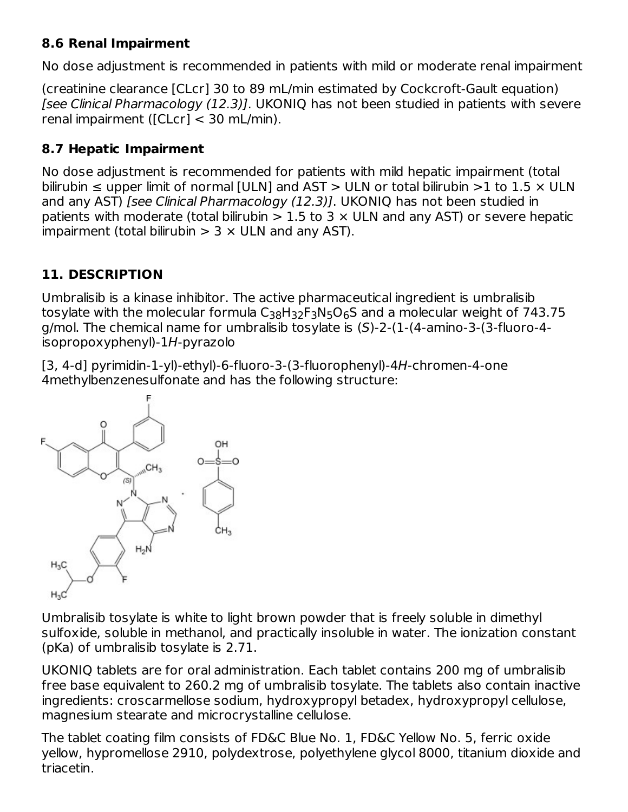## **8.6 Renal Impairment**

No dose adjustment is recommended in patients with mild or moderate renal impairment

(creatinine clearance [CLcr] 30 to 89 mL/min estimated by Cockcroft-Gault equation) [see Clinical Pharmacology (12.3)]. UKONIQ has not been studied in patients with severe renal impairment ([CLcr] < 30 mL/min).

# **8.7 Hepatic Impairment**

No dose adjustment is recommended for patients with mild hepatic impairment (total bilirubin  $\leq$  upper limit of normal [ULN] and AST  $>$  ULN or total bilirubin  $>$ 1 to 1.5  $\times$  ULN and any AST) [see Clinical Pharmacology (12.3)]. UKONIQ has not been studied in patients with moderate (total bilirubin  $> 1.5$  to 3  $\times$  ULN and any AST) or severe hepatic impairment (total bilirubin  $> 3 \times$  ULN and any AST).

# **11. DESCRIPTION**

Umbralisib is a kinase inhibitor. The active pharmaceutical ingredient is umbralisib tosylate with the molecular formula  ${\sf C}_{38} {\sf H}_{32} {\sf F}_3 {\sf N}_5 {\sf O}_6 {\sf S}$  and a molecular weight of 743.75 g/mol. The chemical name for umbralisib tosylate is (S)-2-(1-(4-amino-3-(3-fluoro-4 isopropoxyphenyl)-1H-pyrazolo

[3, 4-d] pyrimidin-1-yl)-ethyl)-6-fluoro-3-(3-fluorophenyl)-4H-chromen-4-one 4methylbenzenesulfonate and has the following structure:



Umbralisib tosylate is white to light brown powder that is freely soluble in dimethyl sulfoxide, soluble in methanol, and practically insoluble in water. The ionization constant (pKa) of umbralisib tosylate is 2.71.

UKONIQ tablets are for oral administration. Each tablet contains 200 mg of umbralisib free base equivalent to 260.2 mg of umbralisib tosylate. The tablets also contain inactive ingredients: croscarmellose sodium, hydroxypropyl betadex, hydroxypropyl cellulose, magnesium stearate and microcrystalline cellulose.

The tablet coating film consists of FD&C Blue No. 1, FD&C Yellow No. 5, ferric oxide yellow, hypromellose 2910, polydextrose, polyethylene glycol 8000, titanium dioxide and triacetin.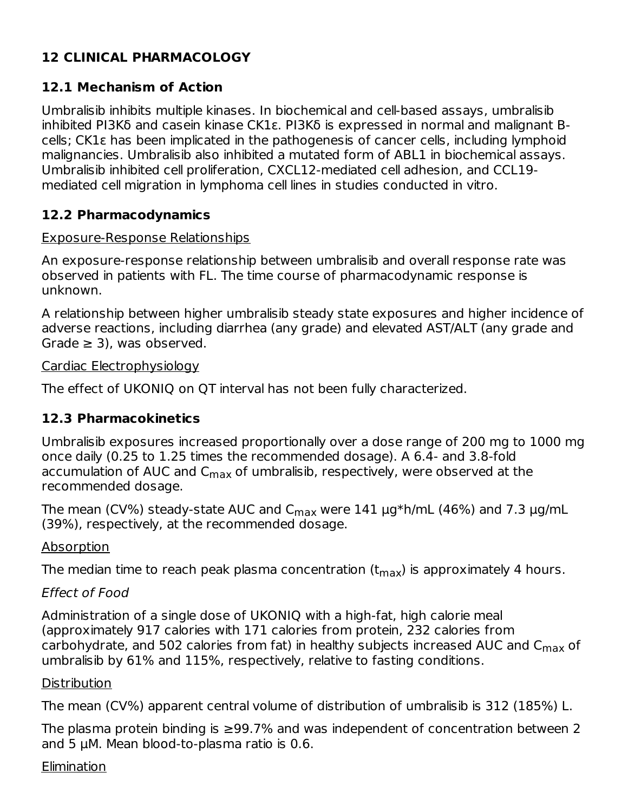## **12 CLINICAL PHARMACOLOGY**

## **12.1 Mechanism of Action**

Umbralisib inhibits multiple kinases. In biochemical and cell-based assays, umbralisib inhibited PI3Kδ and casein kinase CK1ε. PI3Kδ is expressed in normal and malignant Bcells; CK1ε has been implicated in the pathogenesis of cancer cells, including lymphoid malignancies. Umbralisib also inhibited a mutated form of ABL1 in biochemical assays. Umbralisib inhibited cell proliferation, CXCL12-mediated cell adhesion, and CCL19 mediated cell migration in lymphoma cell lines in studies conducted in vitro.

#### **12.2 Pharmacodynamics**

#### Exposure-Response Relationships

An exposure-response relationship between umbralisib and overall response rate was observed in patients with FL. The time course of pharmacodynamic response is unknown.

A relationship between higher umbralisib steady state exposures and higher incidence of adverse reactions, including diarrhea (any grade) and elevated AST/ALT (any grade and Grade  $\geq$  3), was observed.

#### Cardiac Electrophysiology

The effect of UKONIQ on QT interval has not been fully characterized.

## **12.3 Pharmacokinetics**

Umbralisib exposures increased proportionally over a dose range of 200 mg to 1000 mg once daily (0.25 to 1.25 times the recommended dosage). A 6.4- and 3.8-fold accumulation of AUC and C<sub>max</sub> of umbralisib, respectively, were observed at the recommended dosage.

The mean (CV%) steady-state AUC and C<sub>max</sub> were  $141$   $\mu$ g\*h/mL (46%) and 7.3  $\mu$ g/mL (39%), respectively, at the recommended dosage.

#### Absorption

The median time to reach peak plasma concentration (t $_{\sf max}$ ) is approximately 4 hours.

#### Effect of Food

Administration of a single dose of UKONIQ with a high-fat, high calorie meal (approximately 917 calories with 171 calories from protein, 232 calories from carbohydrate, and 502 calories from fat) in healthy subjects increased AUC and  $\mathsf{C}_{\mathsf{max}}$  of umbralisib by 61% and 115%, respectively, relative to fasting conditions.

#### **Distribution**

The mean (CV%) apparent central volume of distribution of umbralisib is 312 (185%) L.

The plasma protein binding is ≥99.7% and was independent of concentration between 2 and 5 μM. Mean blood-to-plasma ratio is 0.6.

#### **Elimination**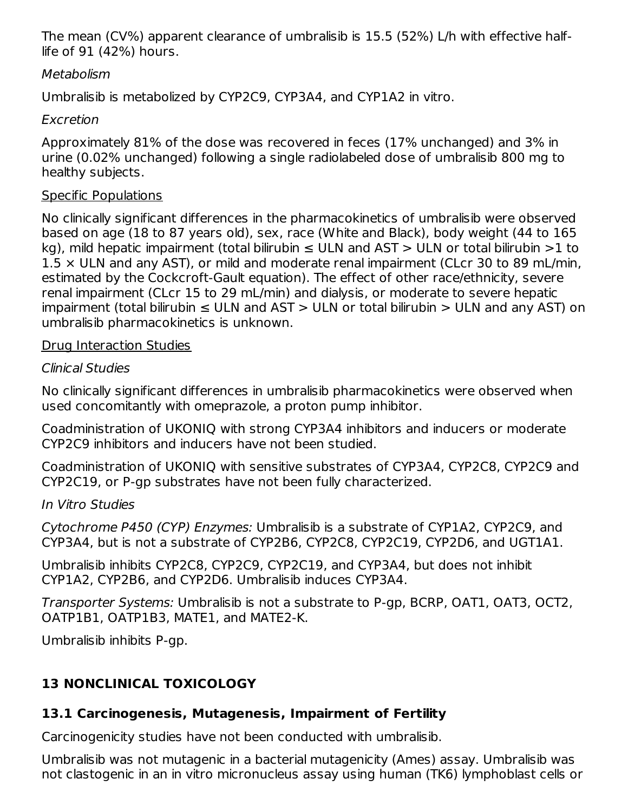The mean (CV%) apparent clearance of umbralisib is 15.5 (52%) L/h with effective halflife of 91 (42%) hours.

#### **Metabolism**

Umbralisib is metabolized by CYP2C9, CYP3A4, and CYP1A2 in vitro.

## Excretion

Approximately 81% of the dose was recovered in feces (17% unchanged) and 3% in urine (0.02% unchanged) following a single radiolabeled dose of umbralisib 800 mg to healthy subjects.

## Specific Populations

No clinically significant differences in the pharmacokinetics of umbralisib were observed based on age (18 to 87 years old), sex, race (White and Black), body weight (44 to 165 kg), mild hepatic impairment (total bilirubin  $\leq$  ULN and AST  $>$  ULN or total bilirubin  $>$ 1 to  $1.5 \times$  ULN and any AST), or mild and moderate renal impairment (CLcr 30 to 89 mL/min, estimated by the Cockcroft-Gault equation). The effect of other race/ethnicity, severe renal impairment (CLcr 15 to 29 mL/min) and dialysis, or moderate to severe hepatic impairment (total bilirubin ≤ ULN and AST > ULN or total bilirubin > ULN and any AST) on umbralisib pharmacokinetics is unknown.

## Drug Interaction Studies

## Clinical Studies

No clinically significant differences in umbralisib pharmacokinetics were observed when used concomitantly with omeprazole, a proton pump inhibitor.

Coadministration of UKONIQ with strong CYP3A4 inhibitors and inducers or moderate CYP2C9 inhibitors and inducers have not been studied.

Coadministration of UKONIQ with sensitive substrates of CYP3A4, CYP2C8, CYP2C9 and CYP2C19, or P-gp substrates have not been fully characterized.

## In Vitro Studies

Cytochrome P450 (CYP) Enzymes: Umbralisib is a substrate of CYP1A2, CYP2C9, and CYP3A4, but is not a substrate of CYP2B6, CYP2C8, CYP2C19, CYP2D6, and UGT1A1.

Umbralisib inhibits CYP2C8, CYP2C9, CYP2C19, and CYP3A4, but does not inhibit CYP1A2, CYP2B6, and CYP2D6. Umbralisib induces CYP3A4.

Transporter Systems: Umbralisib is not a substrate to P-gp, BCRP, OAT1, OAT3, OCT2, OATP1B1, OATP1B3, MATE1, and MATE2-K.

Umbralisib inhibits P-gp.

# **13 NONCLINICAL TOXICOLOGY**

# **13.1 Carcinogenesis, Mutagenesis, Impairment of Fertility**

Carcinogenicity studies have not been conducted with umbralisib.

Umbralisib was not mutagenic in a bacterial mutagenicity (Ames) assay. Umbralisib was not clastogenic in an in vitro micronucleus assay using human (TK6) lymphoblast cells or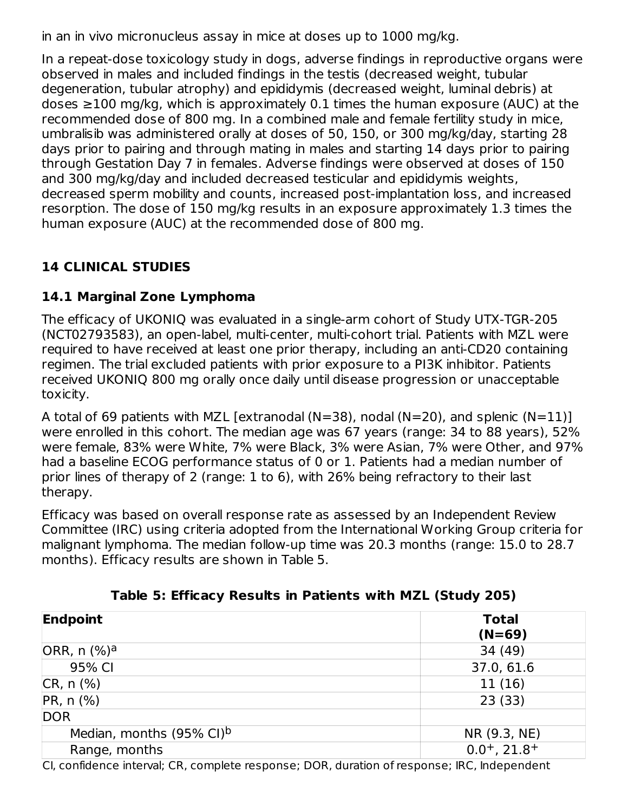in an in vivo micronucleus assay in mice at doses up to 1000 mg/kg.

In a repeat-dose toxicology study in dogs, adverse findings in reproductive organs were observed in males and included findings in the testis (decreased weight, tubular degeneration, tubular atrophy) and epididymis (decreased weight, luminal debris) at doses ≥100 mg/kg, which is approximately 0.1 times the human exposure (AUC) at the recommended dose of 800 mg. In a combined male and female fertility study in mice, umbralisib was administered orally at doses of 50, 150, or 300 mg/kg/day, starting 28 days prior to pairing and through mating in males and starting 14 days prior to pairing through Gestation Day 7 in females. Adverse findings were observed at doses of 150 and 300 mg/kg/day and included decreased testicular and epididymis weights, decreased sperm mobility and counts, increased post-implantation loss, and increased resorption. The dose of 150 mg/kg results in an exposure approximately 1.3 times the human exposure (AUC) at the recommended dose of 800 mg.

# **14 CLINICAL STUDIES**

## **14.1 Marginal Zone Lymphoma**

The efficacy of UKONIQ was evaluated in a single-arm cohort of Study UTX-TGR-205 (NCT02793583), an open-label, multi-center, multi-cohort trial. Patients with MZL were required to have received at least one prior therapy, including an anti-CD20 containing regimen. The trial excluded patients with prior exposure to a PI3K inhibitor. Patients received UKONIQ 800 mg orally once daily until disease progression or unacceptable toxicity.

A total of 69 patients with MZL [extranodal (N=38), nodal (N=20), and splenic (N=11)] were enrolled in this cohort. The median age was 67 years (range: 34 to 88 years), 52% were female, 83% were White, 7% were Black, 3% were Asian, 7% were Other, and 97% had a baseline ECOG performance status of 0 or 1. Patients had a median number of prior lines of therapy of 2 (range: 1 to 6), with 26% being refractory to their last therapy.

Efficacy was based on overall response rate as assessed by an Independent Review Committee (IRC) using criteria adopted from the International Working Group criteria for malignant lymphoma. The median follow-up time was 20.3 months (range: 15.0 to 28.7 months). Efficacy results are shown in Table 5.

| <b>Endpoint</b>                      | <b>Total</b><br>$(N=69)$      |  |
|--------------------------------------|-------------------------------|--|
| ORR, $n$ (%) <sup>a</sup>            | 34(49)                        |  |
| 95% CI                               | 37.0, 61.6                    |  |
| $CR, n$ (%)                          | 11(16)                        |  |
| PR, n (%)                            | 23(33)                        |  |
| DOR                                  |                               |  |
| Median, months (95% CI) <sup>b</sup> | NR (9.3, NE)                  |  |
| Range, months                        | $0.0^{+}$ , 21.8 <sup>+</sup> |  |
|                                      |                               |  |

**Table 5: Efficacy Results in Patients with MZL (Study 205)**

CI, confidence interval; CR, complete response; DOR, duration of response; IRC, Independent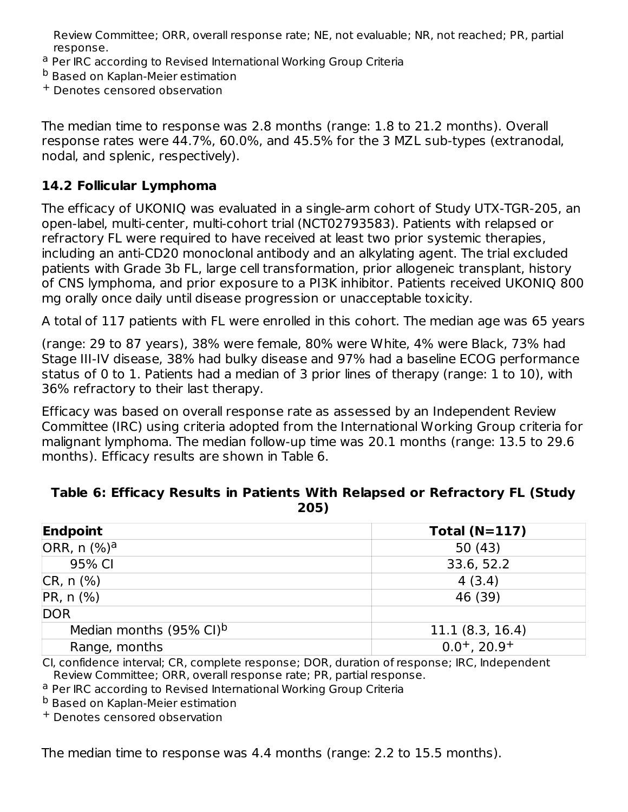Review Committee; ORR, overall response rate; NE, not evaluable; NR, not reached; PR, partial response.

- <sup>a</sup> Per IRC according to Revised International Working Group Criteria
- <sup>b</sup> Based on Kaplan-Meier estimation
- Denotes censored observation +

The median time to response was 2.8 months (range: 1.8 to 21.2 months). Overall response rates were 44.7%, 60.0%, and 45.5% for the 3 MZL sub-types (extranodal, nodal, and splenic, respectively).

## **14.2 Follicular Lymphoma**

The efficacy of UKONIQ was evaluated in a single-arm cohort of Study UTX-TGR-205, an open-label, multi-center, multi-cohort trial (NCT02793583). Patients with relapsed or refractory FL were required to have received at least two prior systemic therapies, including an anti-CD20 monoclonal antibody and an alkylating agent. The trial excluded patients with Grade 3b FL, large cell transformation, prior allogeneic transplant, history of CNS lymphoma, and prior exposure to a PI3K inhibitor. Patients received UKONIQ 800 mg orally once daily until disease progression or unacceptable toxicity.

A total of 117 patients with FL were enrolled in this cohort. The median age was 65 years

(range: 29 to 87 years), 38% were female, 80% were White, 4% were Black, 73% had Stage III-IV disease, 38% had bulky disease and 97% had a baseline ECOG performance status of 0 to 1. Patients had a median of 3 prior lines of therapy (range: 1 to 10), with 36% refractory to their last therapy.

Efficacy was based on overall response rate as assessed by an Independent Review Committee (IRC) using criteria adopted from the International Working Group criteria for malignant lymphoma. The median follow-up time was 20.1 months (range: 13.5 to 29.6 months). Efficacy results are shown in Table 6.

#### **Table 6: Efficacy Results in Patients With Relapsed or Refractory FL (Study 205)**

| Endpoint                            | Total $(N=117)$            |
|-------------------------------------|----------------------------|
| ORR, $n$ (%) <sup>a</sup>           | 50(43)                     |
| 95% CI                              | 33.6, 52.2                 |
| $CR, n$ $%$                         | 4(3.4)                     |
| $PR, n$ (%)                         | 46 (39)                    |
| <b>DOR</b>                          |                            |
| Median months $(95\% \text{ Cl})^b$ | 11.1(8.3, 16.4)            |
| Range, months                       | $0.0+$ , 20.9 <sup>+</sup> |

CI, confidence interval; CR, complete response; DOR, duration of response; IRC, Independent Review Committee; ORR, overall response rate; PR, partial response.

<sup>a</sup> Per IRC according to Revised International Working Group Criteria

<sup>b</sup> Based on Kaplan-Meier estimation

Denotes censored observation +

The median time to response was 4.4 months (range: 2.2 to 15.5 months).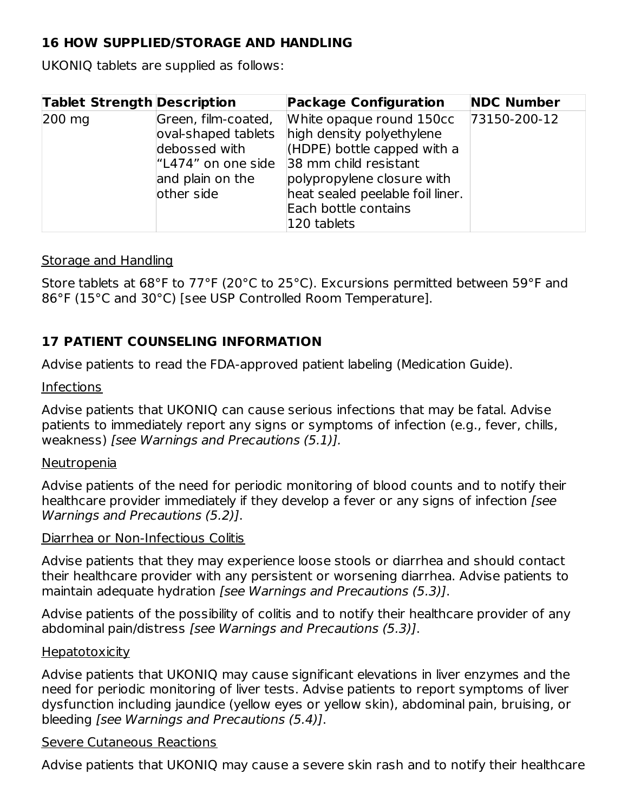## **16 HOW SUPPLIED/STORAGE AND HANDLING**

UKONIQ tablets are supplied as follows:

| <b>Tablet Strength Description</b> |                                                                                                                      | <b>Package Configuration</b>                                                                                                                                                                                             | <b>NDC Number</b> |
|------------------------------------|----------------------------------------------------------------------------------------------------------------------|--------------------------------------------------------------------------------------------------------------------------------------------------------------------------------------------------------------------------|-------------------|
| $200 \text{ mg}$                   | Green, film-coated,<br>oval-shaped tablets<br>debossed with<br>l"L474" on one side<br>and plain on the<br>other side | White opaque round 150cc<br>high density polyethylene<br>$(HDPE)$ bottle capped with a<br>38 mm child resistant<br>polypropylene closure with<br>heat sealed peelable foil liner.<br>Each bottle contains<br>120 tablets | 73150-200-12      |

#### Storage and Handling

Store tablets at 68°F to 77°F (20°C to 25°C). Excursions permitted between 59°F and 86°F (15°C and 30°C) [see USP Controlled Room Temperature].

## **17 PATIENT COUNSELING INFORMATION**

Advise patients to read the FDA-approved patient labeling (Medication Guide).

#### Infections

Advise patients that UKONIQ can cause serious infections that may be fatal. Advise patients to immediately report any signs or symptoms of infection (e.g., fever, chills, weakness) [see Warnings and Precautions (5.1)].

#### Neutropenia

Advise patients of the need for periodic monitoring of blood counts and to notify their healthcare provider immediately if they develop a fever or any signs of infection [see Warnings and Precautions (5.2)].

#### Diarrhea or Non-Infectious Colitis

Advise patients that they may experience loose stools or diarrhea and should contact their healthcare provider with any persistent or worsening diarrhea. Advise patients to maintain adequate hydration [see Warnings and Precautions (5.3)].

Advise patients of the possibility of colitis and to notify their healthcare provider of any abdominal pain/distress [see Warnings and Precautions (5.3)].

#### **Hepatotoxicity**

Advise patients that UKONIQ may cause significant elevations in liver enzymes and the need for periodic monitoring of liver tests. Advise patients to report symptoms of liver dysfunction including jaundice (yellow eyes or yellow skin), abdominal pain, bruising, or bleeding [see Warnings and Precautions (5.4)].

#### Severe Cutaneous Reactions

Advise patients that UKONIQ may cause a severe skin rash and to notify their healthcare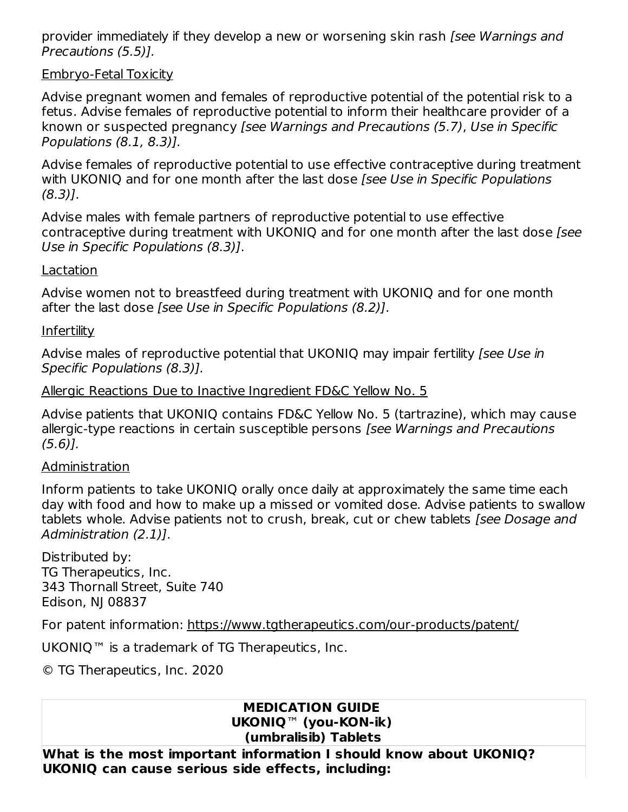provider immediately if they develop a new or worsening skin rash [see Warnings and Precautions (5.5)].

#### Embryo-Fetal Toxicity

Advise pregnant women and females of reproductive potential of the potential risk to a fetus. Advise females of reproductive potential to inform their healthcare provider of a known or suspected pregnancy [see Warnings and Precautions (5.7), Use in Specific Populations (8.1, 8.3)].

Advise females of reproductive potential to use effective contraceptive during treatment with UKONIQ and for one month after the last dose [see Use in Specific Populations (8.3)].

Advise males with female partners of reproductive potential to use effective contraceptive during treatment with UKONIO and for one month after the last dose *[see*] Use in Specific Populations (8.3)].

#### Lactation

Advise women not to breastfeed during treatment with UKONIQ and for one month after the last dose [see Use in Specific Populations (8.2)].

#### **Infertility**

Advise males of reproductive potential that UKONIQ may impair fertility (see Use in Specific Populations (8.3)].

#### Allergic Reactions Due to Inactive Ingredient FD&C Yellow No. 5

Advise patients that UKONIQ contains FD&C Yellow No. 5 (tartrazine), which may cause allergic-type reactions in certain susceptible persons [see Warnings and Precautions (5.6)].

#### Administration

Inform patients to take UKONIQ orally once daily at approximately the same time each day with food and how to make up a missed or vomited dose. Advise patients to swallow tablets whole. Advise patients not to crush, break, cut or chew tablets [see Dosage and Administration (2.1)].

Distributed by: TG Therapeutics, Inc. 343 Thornall Street, Suite 740 Edison, NJ 08837

For patent information: https://www.tgtherapeutics.com/our-products/patent/

UKONIQ™ is a trademark of TG Therapeutics, Inc.

© TG Therapeutics, Inc. 2020

#### **MEDICATION GUIDE UKONIQ**™ **(you-KON-ik) (umbralisib) Tablets**

**What is the most important information I should know about UKONIQ? UKONIQ can cause serious side effects, including:**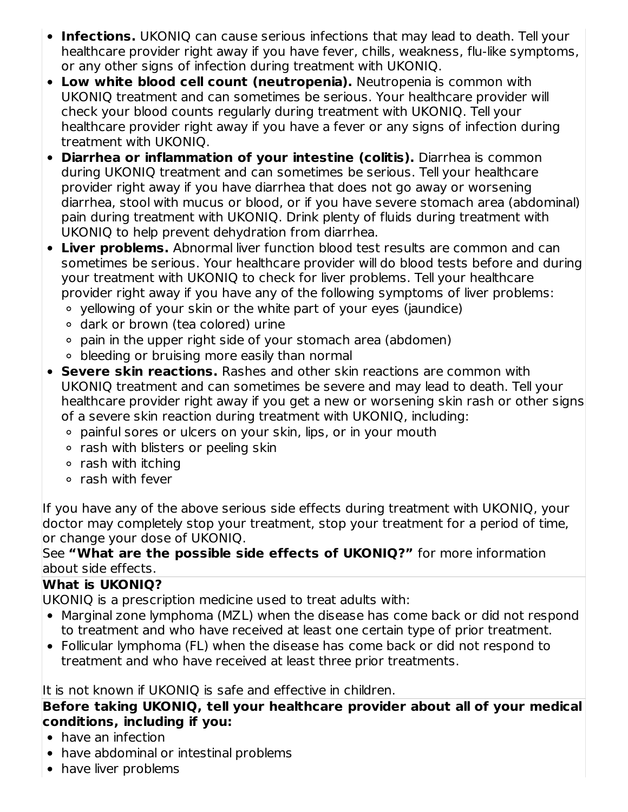- **Infections.** UKONIQ can cause serious infections that may lead to death. Tell your healthcare provider right away if you have fever, chills, weakness, flu-like symptoms, or any other signs of infection during treatment with UKONIQ.
- **Low white blood cell count (neutropenia).** Neutropenia is common with UKONIQ treatment and can sometimes be serious. Your healthcare provider will check your blood counts regularly during treatment with UKONIQ. Tell your healthcare provider right away if you have a fever or any signs of infection during treatment with UKONIQ.
- **Diarrhea or inflammation of your intestine (colitis).** Diarrhea is common during UKONIQ treatment and can sometimes be serious. Tell your healthcare provider right away if you have diarrhea that does not go away or worsening diarrhea, stool with mucus or blood, or if you have severe stomach area (abdominal) pain during treatment with UKONIQ. Drink plenty of fluids during treatment with UKONIQ to help prevent dehydration from diarrhea.
- **Liver problems.** Abnormal liver function blood test results are common and can sometimes be serious. Your healthcare provider will do blood tests before and during your treatment with UKONIQ to check for liver problems. Tell your healthcare provider right away if you have any of the following symptoms of liver problems:
	- yellowing of your skin or the white part of your eyes (jaundice)
	- dark or brown (tea colored) urine
	- pain in the upper right side of your stomach area (abdomen)
	- bleeding or bruising more easily than normal
- **Severe skin reactions.** Rashes and other skin reactions are common with UKONIQ treatment and can sometimes be severe and may lead to death. Tell your healthcare provider right away if you get a new or worsening skin rash or other signs of a severe skin reaction during treatment with UKONIQ, including:
	- painful sores or ulcers on your skin, lips, or in your mouth
	- o rash with blisters or peeling skin
	- $\circ$  rash with itching
	- $\circ$  rash with fever

If you have any of the above serious side effects during treatment with UKONIQ, your doctor may completely stop your treatment, stop your treatment for a period of time, or change your dose of UKONIQ.

#### See **"What are the possible side effects of UKONIQ?"** for more information about side effects.

## **What is UKONIQ?**

UKONIQ is a prescription medicine used to treat adults with:

- Marginal zone lymphoma (MZL) when the disease has come back or did not respond to treatment and who have received at least one certain type of prior treatment.
- Follicular lymphoma (FL) when the disease has come back or did not respond to treatment and who have received at least three prior treatments.

It is not known if UKONIQ is safe and effective in children.

**Before taking UKONIQ, tell your healthcare provider about all of your medical conditions, including if you:**

- have an infection
- have abdominal or intestinal problems
- have liver problems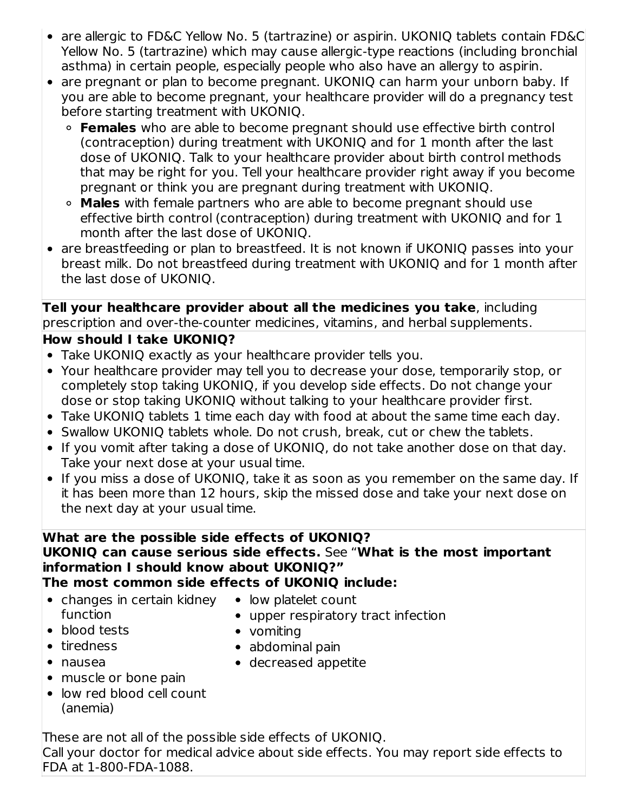- are allergic to FD&C Yellow No. 5 (tartrazine) or aspirin. UKONIQ tablets contain FD&C Yellow No. 5 (tartrazine) which may cause allergic-type reactions (including bronchial asthma) in certain people, especially people who also have an allergy to aspirin.
- are pregnant or plan to become pregnant. UKONIQ can harm your unborn baby. If you are able to become pregnant, your healthcare provider will do a pregnancy test before starting treatment with UKONIQ.
	- **Females** who are able to become pregnant should use effective birth control (contraception) during treatment with UKONIQ and for 1 month after the last dose of UKONIQ. Talk to your healthcare provider about birth control methods that may be right for you. Tell your healthcare provider right away if you become pregnant or think you are pregnant during treatment with UKONIQ.
	- **Males** with female partners who are able to become pregnant should use effective birth control (contraception) during treatment with UKONIQ and for 1 month after the last dose of UKONIQ.
- are breastfeeding or plan to breastfeed. It is not known if UKONIQ passes into your breast milk. Do not breastfeed during treatment with UKONIQ and for 1 month after the last dose of UKONIQ.

**Tell your healthcare provider about all the medicines you take**, including prescription and over-the-counter medicines, vitamins, and herbal supplements.

## **How should I take UKONIQ?**

- Take UKONIQ exactly as your healthcare provider tells you.
- Your healthcare provider may tell you to decrease your dose, temporarily stop, or completely stop taking UKONIQ, if you develop side effects. Do not change your dose or stop taking UKONIQ without talking to your healthcare provider first.
- Take UKONIQ tablets 1 time each day with food at about the same time each day.
- Swallow UKONIQ tablets whole. Do not crush, break, cut or chew the tablets.
- If you vomit after taking a dose of UKONIQ, do not take another dose on that day. Take your next dose at your usual time.
- If you miss a dose of UKONIQ, take it as soon as you remember on the same day. If it has been more than 12 hours, skip the missed dose and take your next dose on the next day at your usual time.

#### **What are the possible side effects of UKONIQ? UKONIQ can cause serious side effects.** See "**What is the most important information I should know about UKONIQ?" The most common side effects of UKONIQ include:**

- changes in certain kidney low platelet count function
- - upper respiratory tract infection
- blood tests
- tiredness
- nausea

abdominal pain

• vomiting

- decreased appetite
- muscle or bone pain
- low red blood cell count (anemia)

These are not all of the possible side effects of UKONIQ. Call your doctor for medical advice about side effects. You may report side effects to FDA at 1-800-FDA-1088.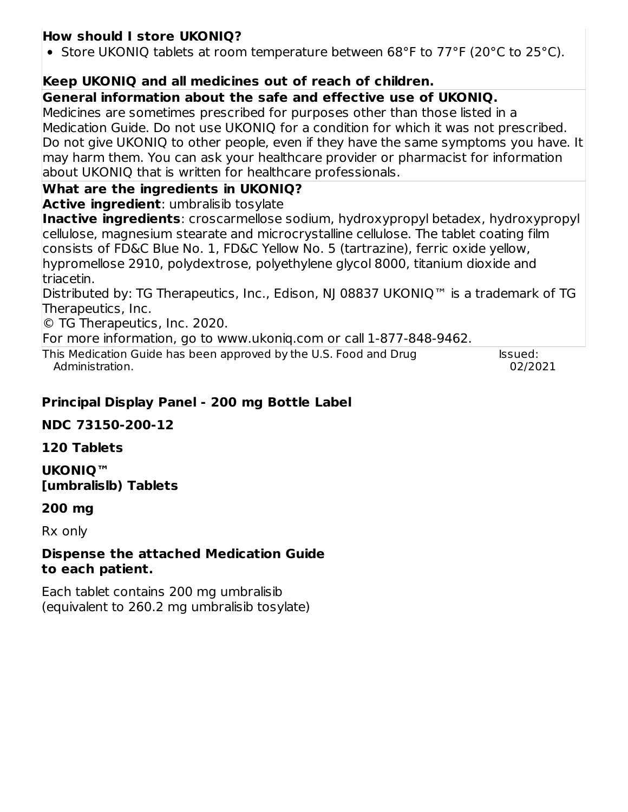## **How should I store UKONIQ?**

• Store UKONIQ tablets at room temperature between 68°F to 77°F (20°C to 25°C).

## **Keep UKONIQ and all medicines out of reach of children.**

### **General information about the safe and effective use of UKONIQ.**

Medicines are sometimes prescribed for purposes other than those listed in a Medication Guide. Do not use UKONIQ for a condition for which it was not prescribed. Do not give UKONIQ to other people, even if they have the same symptoms you have. It may harm them. You can ask your healthcare provider or pharmacist for information about UKONIQ that is written for healthcare professionals.

## **What are the ingredients in UKONIQ?**

**Active ingredient**: umbralisib tosylate

**Inactive ingredients**: croscarmellose sodium, hydroxypropyl betadex, hydroxypropyl cellulose, magnesium stearate and microcrystalline cellulose. The tablet coating film consists of FD&C Blue No. 1, FD&C Yellow No. 5 (tartrazine), ferric oxide yellow, hypromellose 2910, polydextrose, polyethylene glycol 8000, titanium dioxide and triacetin.

Distributed by: TG Therapeutics, Inc., Edison, NJ 08837 UKONIQ™ is a trademark of TG Therapeutics, Inc.

© TG Therapeutics, Inc. 2020.

For more information, go to www.ukoniq.com or call 1-877-848-9462.

This Medication Guide has been approved by the U.S. Food and Drug Administration.

Issued: 02/2021

## **Principal Display Panel - 200 mg Bottle Label**

## **NDC 73150-200-12**

## **120 Tablets**

**UKONIQ™ [umbralislb) Tablets**

## **200 mg**

Rx only

#### **Dispense the attached Medication Guide to each patient.**

Each tablet contains 200 mg umbralisib (equivalent to 260.2 mg umbralisib tosylate)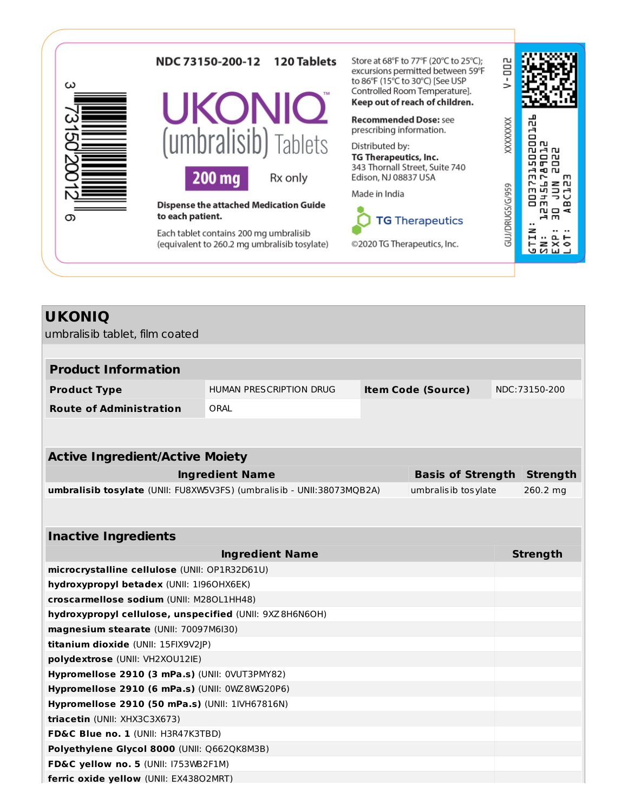| ω | <b>120 Tablets</b><br>NDC 73150-200-12                                                 | Store at 68°F to 77°F (20°C to 25°C);<br>excursions permitted between 59°F<br>to 86°F (15°C to 30°C) [See USP |                                    |
|---|----------------------------------------------------------------------------------------|---------------------------------------------------------------------------------------------------------------|------------------------------------|
|   | <b>UKONIC</b>                                                                          | Controlled Room Temperature].<br>Keep out of reach of children.                                               |                                    |
|   |                                                                                        | <b>Recommended Dose: see</b><br>prescribing information.                                                      | <b>CXXXXXX</b><br>짘                |
|   | (umbralisib) Tablets                                                                   | Distributed by:<br>TG Therapeutics, Inc.                                                                      | g<br><b>n</b><br><b>AN</b><br>െ പ  |
|   | 200 mg<br>Rx only                                                                      | 343 Thornall Street, Suite 740<br>Edison, NJ 08837 USA                                                        | m<br>z ru                          |
|   | <b>Dispense the attached Medication Guide</b>                                          | Made in India                                                                                                 | GUJ/DRUGS/G/959<br>r-<br>m<br>N□ < |
| Œ | to each patient.                                                                       | <b>TG Therapeutics</b>                                                                                        | m                                  |
|   | Each tablet contains 200 mg umbralisib<br>(equivalent to 260.2 mg umbralisib tosylate) | ©2020 TG Therapeutics, Inc.                                                                                   | ᅆ                                  |
|   |                                                                                        |                                                                                                               |                                    |

| <b>UKONIQ</b> |  |
|---------------|--|
|---------------|--|

umbralisib tablet, film coated

| <b>Product Information</b>     |                         |                           |                |
|--------------------------------|-------------------------|---------------------------|----------------|
| <b>Product Type</b>            | HUMAN PRESCRIPTION DRUG | <b>Item Code (Source)</b> | NDC: 73150-200 |
| <b>Route of Administration</b> | ORAL                    |                           |                |

| <b>Active Ingredient/Active Moiety</b>                                |                                   |          |  |  |
|-----------------------------------------------------------------------|-----------------------------------|----------|--|--|
| <b>Ingredient Name</b>                                                | <b>Basis of Strength Strength</b> |          |  |  |
| umbralisib tosylate (UNII: FU8XW5V3FS) (umbralisib - UNII:38073MQB2A) | umbralisib tosylate               | 260.2 mg |  |  |

| <b>Inactive Ingredients</b>                             |                 |
|---------------------------------------------------------|-----------------|
| <b>Ingredient Name</b>                                  | <b>Strength</b> |
| microcrystalline cellulose (UNII: OP1R32D61U)           |                 |
| hydroxypropyl betadex (UNII: 1960HX6EK)                 |                 |
| croscarmellose sodium (UNII: M280L1HH48)                |                 |
| hydroxypropyl cellulose, unspecified (UNII: 9XZ8H6N6OH) |                 |
| magnesium stearate (UNII: 70097M6I30)                   |                 |
| <b>titanium dioxide</b> (UNII: 15FIX9V2JP)              |                 |
| polydextrose (UNII: VH2XOU12IE)                         |                 |
| Hypromellose 2910 (3 mPa.s) (UNII: 0VUT3PMY82)          |                 |
| Hypromellose 2910 (6 mPa.s) (UNII: $0WZ8WG20P6$ )       |                 |
| <b>Hypromellose 2910 (50 mPa.s) (UNII: 1IVH67816N)</b>  |                 |
| <b>triacetin</b> (UNII: XHX3C3X673)                     |                 |
| <b>FD&amp;C Blue no. 1 (UNII: H3R47K3TBD)</b>           |                 |
| Polyethylene Glycol 8000 (UNII: Q662QK8M3B)             |                 |
| FD&C yellow no. 5 (UNII: I753WB2F1M)                    |                 |
| <b>ferric oxide yellow (UNII: EX43802MRT)</b>           |                 |